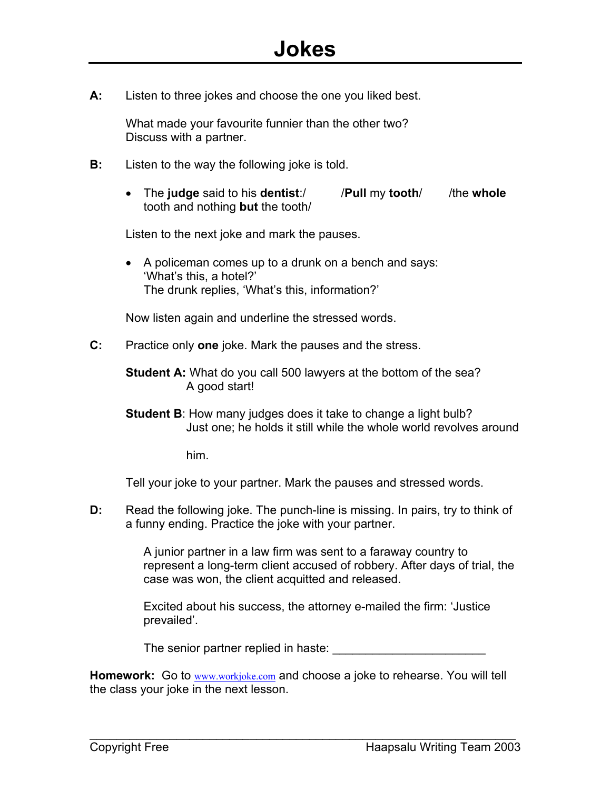**A:** Listen to three jokes and choose the one you liked best.

What made your favourite funnier than the other two? Discuss with a partner.

- **B:** Listen to the way the following joke is told.
	- The **judge** said to his **dentist**:/ /**Pull** my **tooth**/ /the **whole** tooth and nothing **but** the tooth/

Listen to the next joke and mark the pauses.

• A policeman comes up to a drunk on a bench and says: 'What's this, a hotel?' The drunk replies, 'What's this, information?'

Now listen again and underline the stressed words.

**C:** Practice only **one** joke. Mark the pauses and the stress.

**Student A:** What do you call 500 lawyers at the bottom of the sea? A good start!

**Student B**: How many judges does it take to change a light bulb? Just one; he holds it still while the whole world revolves around

him.

Tell your joke to your partner. Mark the pauses and stressed words.

**D:** Read the following joke. The punch-line is missing. In pairs, try to think of a funny ending. Practice the joke with your partner.

> A junior partner in a law firm was sent to a faraway country to represent a long-term client accused of robbery. After days of trial, the case was won, the client acquitted and released.

Excited about his success, the attorney e-mailed the firm: 'Justice prevailed'.

The seni[or partner replied](http://www.workjoke.com/) in haste:

**Homework:** Go to www.workjoke.com and choose a joke to rehearse. You will tell the class your joke in the next lesson.

 $\mathcal{L}_\text{max}$  , and the contract of the contract of the contract of the contract of the contract of the contract of